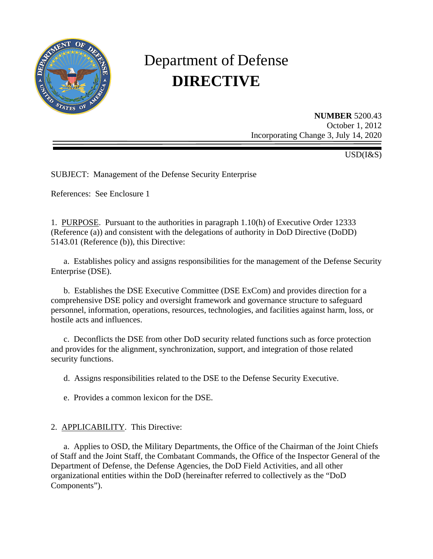

# Department of Defense **DIRECTIVE**

**NUMBER** 5200.43 October 1, 2012 Incorporating Change 3, July 14, 2020

USD(I&S)

SUBJECT: Management of the Defense Security Enterprise

References: See Enclosure 1

1. PURPOSE. Pursuant to the authorities in paragraph 1.10(h) of Executive Order 12333 (Reference (a)) and consistent with the delegations of authority in DoD Directive (DoDD) 5143.01 (Reference (b)), this Directive:

a. Establishes policy and assigns responsibilities for the management of the Defense Security Enterprise (DSE).

b. Establishes the DSE Executive Committee (DSE ExCom) and provides direction for a comprehensive DSE policy and oversight framework and governance structure to safeguard personnel, information, operations, resources, technologies, and facilities against harm, loss, or hostile acts and influences.

c. Deconflicts the DSE from other DoD security related functions such as force protection and provides for the alignment, synchronization, support, and integration of those related security functions.

d. Assigns responsibilities related to the DSE to the Defense Security Executive.

e. Provides a common lexicon for the DSE.

## 2. APPLICABILITY. This Directive:

a. Applies to OSD, the Military Departments, the Office of the Chairman of the Joint Chiefs of Staff and the Joint Staff, the Combatant Commands, the Office of the Inspector General of the Department of Defense, the Defense Agencies, the DoD Field Activities, and all other organizational entities within the DoD (hereinafter referred to collectively as the "DoD Components").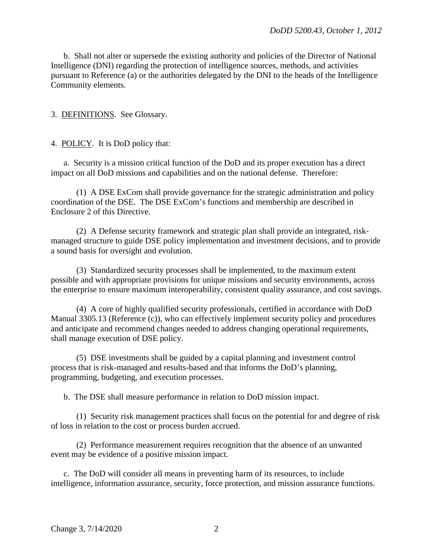b. Shall not alter or supersede the existing authority and policies of the Director of National Intelligence (DNI) regarding the protection of intelligence sources, methods, and activities pursuant to Reference (a) or the authorities delegated by the DNI to the heads of the Intelligence Community elements.

3. DEFINITIONS. See Glossary.

#### 4. POLICY. It is DoD policy that:

a. Security is a mission critical function of the DoD and its proper execution has a direct impact on all DoD missions and capabilities and on the national defense. Therefore:

(1) A DSE ExCom shall provide governance for the strategic administration and policy coordination of the DSE. The DSE ExCom's functions and membership are described in Enclosure 2 of this Directive.

(2) A Defense security framework and strategic plan shall provide an integrated, riskmanaged structure to guide DSE policy implementation and investment decisions, and to provide a sound basis for oversight and evolution.

(3) Standardized security processes shall be implemented, to the maximum extent possible and with appropriate provisions for unique missions and security environments, across the enterprise to ensure maximum interoperability, consistent quality assurance, and cost savings.

(4) A core of highly qualified security professionals, certified in accordance with DoD Manual 3305.13 (Reference (c)), who can effectively implement security policy and procedures and anticipate and recommend changes needed to address changing operational requirements, shall manage execution of DSE policy.

(5) DSE investments shall be guided by a capital planning and investment control process that is risk-managed and results-based and that informs the DoD's planning, programming, budgeting, and execution processes.

b. The DSE shall measure performance in relation to DoD mission impact.

(1) Security risk management practices shall focus on the potential for and degree of risk of loss in relation to the cost or process burden accrued.

(2) Performance measurement requires recognition that the absence of an unwanted event may be evidence of a positive mission impact.

c. The DoD will consider all means in preventing harm of its resources, to include intelligence, information assurance, security, force protection, and mission assurance functions.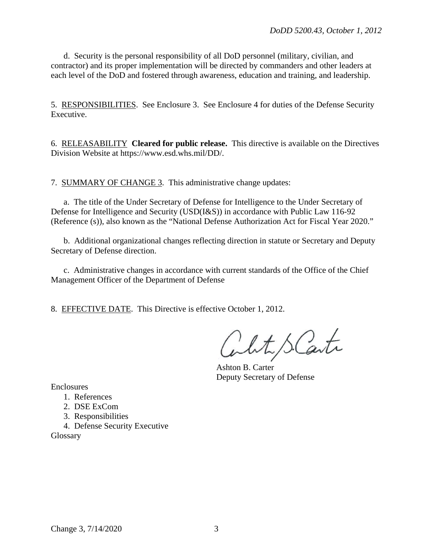d. Security is the personal responsibility of all DoD personnel (military, civilian, and contractor) and its proper implementation will be directed by commanders and other leaders at each level of the DoD and fostered through awareness, education and training, and leadership.

5. RESPONSIBILITIES. See Enclosure 3. See Enclosure 4 for duties of the Defense Security Executive.

6. RELEASABILITY **Cleared for public release.** This directive is available on the Directives Division Website at https://www.esd.whs.mil/DD/.

7. SUMMARY OF CHANGE 3. This administrative change updates:

a. The title of the Under Secretary of Defense for Intelligence to the Under Secretary of Defense for Intelligence and Security (USD(I&S)) in accordance with Public Law 116-92 (Reference (s)), also known as the "National Defense Authorization Act for Fiscal Year 2020."

b. Additional organizational changes reflecting direction in statute or Secretary and Deputy Secretary of Defense direction.

c. Administrative changes in accordance with current standards of the Office of the Chief Management Officer of the Department of Defense

8. EFFECTIVE DATE. This Directive is effective October 1, 2012.

white S. Carte

Ashton B. Carter Deputy Secretary of Defense

Enclosures

- 1. References
- 2. DSE ExCom
- 3. Responsibilities
- 4. Defense Security Executive

Glossary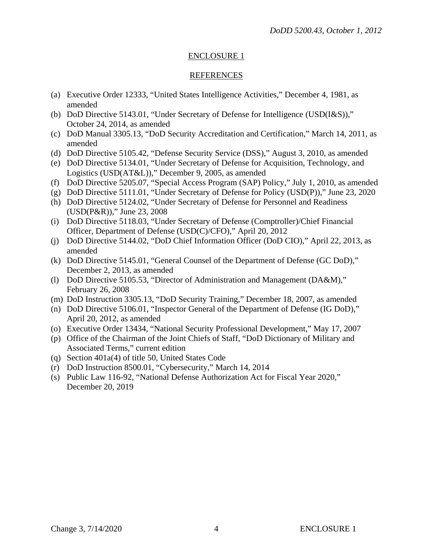#### REFERENCES

- (a) Executive Order 12333, "United States Intelligence Activities," December 4, 1981, as amended
- (b) DoD Directive 5143.01, "Under Secretary of Defense for Intelligence (USD(I&S))," October 24, 2014, as amended
- (c) DoD Manual 3305.13, "DoD Security Accreditation and Certification," March 14, 2011, as amended
- (d) DoD Directive 5105.42, "Defense Security Service (DSS)," August 3, 2010, as amended
- (e) DoD Directive 5134.01, "Under Secretary of Defense for Acquisition, Technology, and Logistics (USD(AT&L))," December 9, 2005, as amended
- (f) DoD Directive 5205.07, "Special Access Program (SAP) Policy," July 1, 2010, as amended
- (g) DoD Directive 5111.01, "Under Secretary of Defense for Policy (USD(P))," June 23, 2020
- (h) DoD Directive 5124.02, "Under Secretary of Defense for Personnel and Readiness (USD(P&R))," June 23, 2008
- (i) DoD Directive 5118.03, "Under Secretary of Defense (Comptroller)/Chief Financial Officer, Department of Defense (USD(C)/CFO)," April 20, 2012
- (j) DoD Directive 5144.02, "DoD Chief Information Officer (DoD CIO)," April 22, 2013, as amended
- (k) DoD Directive 5145.01, "General Counsel of the Department of Defense (GC DoD)," December 2, 2013, as amended
- (l) DoD Directive 5105.53, "Director of Administration and Management (DA&M)," February 26, 2008
- (m) DoD Instruction 3305.13, "DoD Security Training," December 18, 2007, as amended
- (n) DoD Directive 5106.01, "Inspector General of the Department of Defense (IG DoD)," April 20, 2012, as amended
- (o) Executive Order 13434, "National Security Professional Development," May 17, 2007
- (p) Office of the Chairman of the Joint Chiefs of Staff, "DoD Dictionary of Military and Associated Terms," current edition
- (q) Section 401a(4) of title 50, United States Code
- (r) DoD Instruction 8500.01, "Cybersecurity," March 14, 2014
- (s) Public Law 116-92, "National Defense Authorization Act for Fiscal Year 2020," December 20, 2019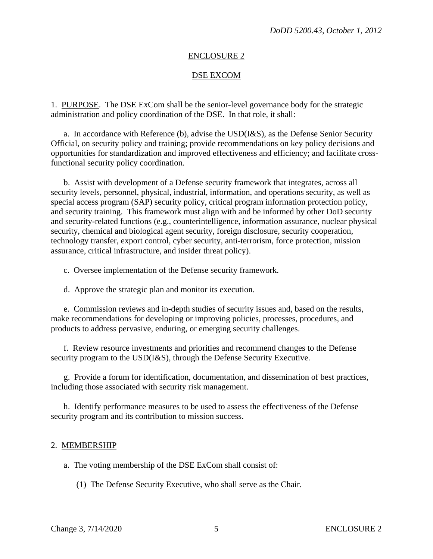## DSE EXCOM

1. PURPOSE. The DSE ExCom shall be the senior-level governance body for the strategic administration and policy coordination of the DSE. In that role, it shall:

a. In accordance with Reference (b), advise the USD(I&S), as the Defense Senior Security Official, on security policy and training; provide recommendations on key policy decisions and opportunities for standardization and improved effectiveness and efficiency; and facilitate crossfunctional security policy coordination.

b. Assist with development of a Defense security framework that integrates, across all security levels, personnel, physical, industrial, information, and operations security, as well as special access program (SAP) security policy, critical program information protection policy, and security training. This framework must align with and be informed by other DoD security and security-related functions (e.g., counterintelligence, information assurance, nuclear physical security, chemical and biological agent security, foreign disclosure, security cooperation, technology transfer, export control, cyber security, anti-terrorism, force protection, mission assurance, critical infrastructure, and insider threat policy).

c. Oversee implementation of the Defense security framework.

d. Approve the strategic plan and monitor its execution.

e. Commission reviews and in-depth studies of security issues and, based on the results, make recommendations for developing or improving policies, processes, procedures, and products to address pervasive, enduring, or emerging security challenges.

f. Review resource investments and priorities and recommend changes to the Defense security program to the USD(I&S), through the Defense Security Executive.

g. Provide a forum for identification, documentation, and dissemination of best practices, including those associated with security risk management.

h. Identify performance measures to be used to assess the effectiveness of the Defense security program and its contribution to mission success.

## 2. MEMBERSHIP

a. The voting membership of the DSE ExCom shall consist of:

(1) The Defense Security Executive, who shall serve as the Chair.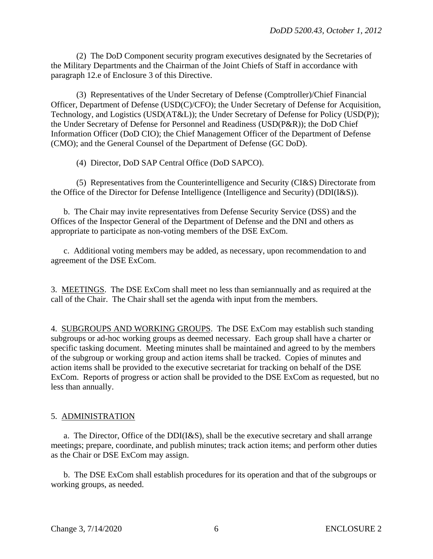(2) The DoD Component security program executives designated by the Secretaries of the Military Departments and the Chairman of the Joint Chiefs of Staff in accordance with paragraph 12.e of Enclosure 3 of this Directive.

(3) Representatives of the Under Secretary of Defense (Comptroller)/Chief Financial Officer, Department of Defense (USD(C)/CFO); the Under Secretary of Defense for Acquisition, Technology, and Logistics (USD(AT&L)); the Under Secretary of Defense for Policy (USD(P)); the Under Secretary of Defense for Personnel and Readiness (USD(P&R)); the DoD Chief Information Officer (DoD CIO); the Chief Management Officer of the Department of Defense (CMO); and the General Counsel of the Department of Defense (GC DoD).

(4) Director, DoD SAP Central Office (DoD SAPCO).

(5) Representatives from the Counterintelligence and Security (CI&S) Directorate from the Office of the Director for Defense Intelligence (Intelligence and Security) (DDI(I&S)).

b. The Chair may invite representatives from Defense Security Service (DSS) and the Offices of the Inspector General of the Department of Defense and the DNI and others as appropriate to participate as non-voting members of the DSE ExCom.

c. Additional voting members may be added, as necessary, upon recommendation to and agreement of the DSE ExCom.

3. MEETINGS. The DSE ExCom shall meet no less than semiannually and as required at the call of the Chair. The Chair shall set the agenda with input from the members.

4. SUBGROUPS AND WORKING GROUPS. The DSE ExCom may establish such standing subgroups or ad-hoc working groups as deemed necessary. Each group shall have a charter or specific tasking document. Meeting minutes shall be maintained and agreed to by the members of the subgroup or working group and action items shall be tracked. Copies of minutes and action items shall be provided to the executive secretariat for tracking on behalf of the DSE ExCom. Reports of progress or action shall be provided to the DSE ExCom as requested, but no less than annually.

## 5. ADMINISTRATION

a. The Director, Office of the  $DDI(I&S)$ , shall be the executive secretary and shall arrange meetings; prepare, coordinate, and publish minutes; track action items; and perform other duties as the Chair or DSE ExCom may assign.

b. The DSE ExCom shall establish procedures for its operation and that of the subgroups or working groups, as needed.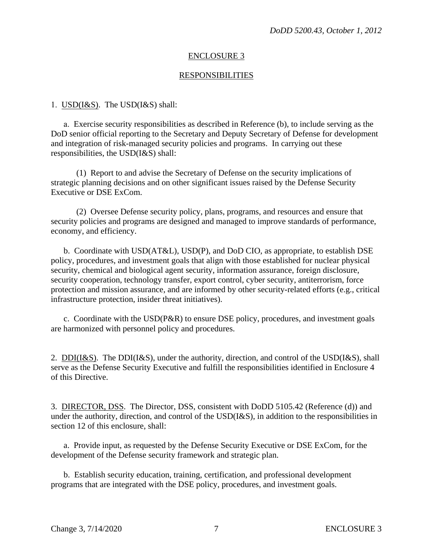#### RESPONSIBILITIES

#### 1. USD(I&S). The USD(I&S) shall:

a. Exercise security responsibilities as described in Reference (b), to include serving as the DoD senior official reporting to the Secretary and Deputy Secretary of Defense for development and integration of risk-managed security policies and programs. In carrying out these responsibilities, the USD(I&S) shall:

(1) Report to and advise the Secretary of Defense on the security implications of strategic planning decisions and on other significant issues raised by the Defense Security Executive or DSE ExCom.

(2) Oversee Defense security policy, plans, programs, and resources and ensure that security policies and programs are designed and managed to improve standards of performance, economy, and efficiency.

b. Coordinate with USD(AT&L), USD(P), and DoD CIO, as appropriate, to establish DSE policy, procedures, and investment goals that align with those established for nuclear physical security, chemical and biological agent security, information assurance, foreign disclosure, security cooperation, technology transfer, export control, cyber security, antiterrorism, force protection and mission assurance, and are informed by other security-related efforts (e.g., critical infrastructure protection, insider threat initiatives).

c. Coordinate with the  $\text{USD}(P\&R)$  to ensure DSE policy, procedures, and investment goals are harmonized with personnel policy and procedures.

2. DDI(I&S). The DDI(I&S), under the authority, direction, and control of the USD(I&S), shall serve as the Defense Security Executive and fulfill the responsibilities identified in Enclosure 4 of this Directive.

3. DIRECTOR, DSS. The Director, DSS, consistent with DoDD 5105.42 (Reference (d)) and under the authority, direction, and control of the USD(I&S), in addition to the responsibilities in section 12 of this enclosure, shall:

a. Provide input, as requested by the Defense Security Executive or DSE ExCom, for the development of the Defense security framework and strategic plan.

b. Establish security education, training, certification, and professional development programs that are integrated with the DSE policy, procedures, and investment goals.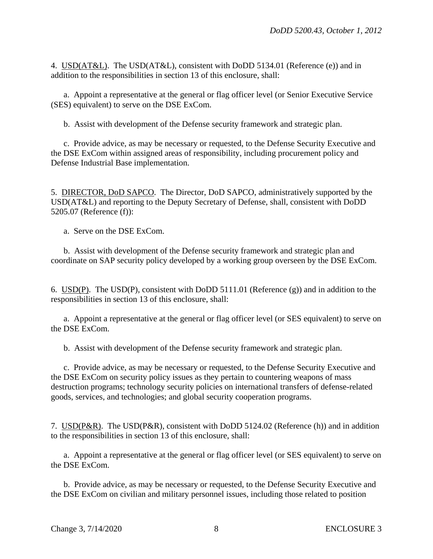4. USD(AT&L). The USD(AT&L), consistent with DoDD 5134.01 (Reference (e)) and in addition to the responsibilities in section 13 of this enclosure, shall:

 a. Appoint a representative at the general or flag officer level (or Senior Executive Service (SES) equivalent) to serve on the DSE ExCom.

b. Assist with development of the Defense security framework and strategic plan.

 c. Provide advice, as may be necessary or requested, to the Defense Security Executive and the DSE ExCom within assigned areas of responsibility, including procurement policy and Defense Industrial Base implementation.

5. DIRECTOR, DoD SAPCO. The Director, DoD SAPCO, administratively supported by the USD(AT&L) and reporting to the Deputy Secretary of Defense, shall, consistent with DoDD 5205.07 (Reference (f)):

a. Serve on the DSE ExCom.

b. Assist with development of the Defense security framework and strategic plan and coordinate on SAP security policy developed by a working group overseen by the DSE ExCom.

6. USD(P). The USD(P), consistent with DoDD 5111.01 (Reference (g)) and in addition to the responsibilities in section 13 of this enclosure, shall:

a. Appoint a representative at the general or flag officer level (or SES equivalent) to serve on the DSE ExCom.

b. Assist with development of the Defense security framework and strategic plan.

 c. Provide advice, as may be necessary or requested, to the Defense Security Executive and the DSE ExCom on security policy issues as they pertain to countering weapons of mass destruction programs; technology security policies on international transfers of defense-related goods, services, and technologies; and global security cooperation programs.

7. USD(P&R). The USD(P&R), consistent with DoDD 5124.02 (Reference (h)) and in addition to the responsibilities in section 13 of this enclosure, shall:

a. Appoint a representative at the general or flag officer level (or SES equivalent) to serve on the DSE ExCom.

 b. Provide advice, as may be necessary or requested, to the Defense Security Executive and the DSE ExCom on civilian and military personnel issues, including those related to position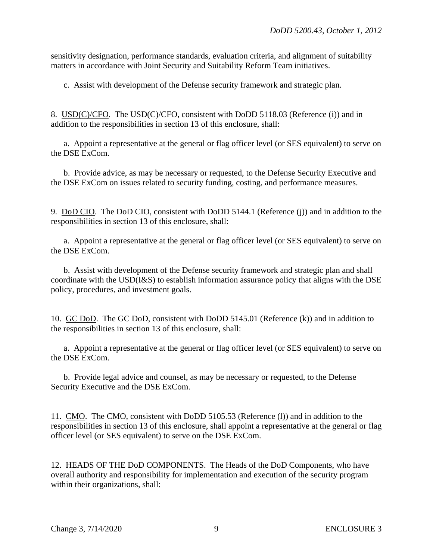sensitivity designation, performance standards, evaluation criteria, and alignment of suitability matters in accordance with Joint Security and Suitability Reform Team initiatives.

c. Assist with development of the Defense security framework and strategic plan.

8. USD(C)/CFO. The USD(C)/CFO, consistent with DoDD 5118.03 (Reference (i)) and in addition to the responsibilities in section 13 of this enclosure, shall:

a. Appoint a representative at the general or flag officer level (or SES equivalent) to serve on the DSE ExCom.

 b. Provide advice, as may be necessary or requested, to the Defense Security Executive and the DSE ExCom on issues related to security funding, costing, and performance measures.

9. DoD CIO. The DoD CIO, consistent with DoDD 5144.1 (Reference (j)) and in addition to the responsibilities in section 13 of this enclosure, shall:

a. Appoint a representative at the general or flag officer level (or SES equivalent) to serve on the DSE ExCom.

 b. Assist with development of the Defense security framework and strategic plan and shall coordinate with the USD(I&S) to establish information assurance policy that aligns with the DSE policy, procedures, and investment goals.

10. GC DoD. The GC DoD, consistent with DoDD 5145.01 (Reference (k)) and in addition to the responsibilities in section 13 of this enclosure, shall:

a. Appoint a representative at the general or flag officer level (or SES equivalent) to serve on the DSE ExCom.

 b. Provide legal advice and counsel, as may be necessary or requested, to the Defense Security Executive and the DSE ExCom.

11. CMO. The CMO, consistent with DoDD 5105.53 (Reference (l)) and in addition to the responsibilities in section 13 of this enclosure, shall appoint a representative at the general or flag officer level (or SES equivalent) to serve on the DSE ExCom.

12. HEADS OF THE DoD COMPONENTS. The Heads of the DoD Components, who have overall authority and responsibility for implementation and execution of the security program within their organizations, shall: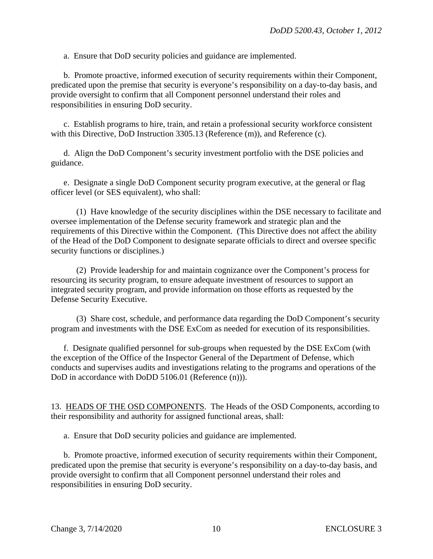a. Ensure that DoD security policies and guidance are implemented.

 b. Promote proactive, informed execution of security requirements within their Component, predicated upon the premise that security is everyone's responsibility on a day-to-day basis, and provide oversight to confirm that all Component personnel understand their roles and responsibilities in ensuring DoD security.

 c. Establish programs to hire, train, and retain a professional security workforce consistent with this Directive, DoD Instruction 3305.13 (Reference (m)), and Reference (c).

 d. Align the DoD Component's security investment portfolio with the DSE policies and guidance.

 e. Designate a single DoD Component security program executive, at the general or flag officer level (or SES equivalent), who shall:

 (1) Have knowledge of the security disciplines within the DSE necessary to facilitate and oversee implementation of the Defense security framework and strategic plan and the requirements of this Directive within the Component. (This Directive does not affect the ability of the Head of the DoD Component to designate separate officials to direct and oversee specific security functions or disciplines.)

 (2) Provide leadership for and maintain cognizance over the Component's process for resourcing its security program, to ensure adequate investment of resources to support an integrated security program, and provide information on those efforts as requested by the Defense Security Executive.

 (3) Share cost, schedule, and performance data regarding the DoD Component's security program and investments with the DSE ExCom as needed for execution of its responsibilities.

f. Designate qualified personnel for sub-groups when requested by the DSE ExCom (with the exception of the Office of the Inspector General of the Department of Defense, which conducts and supervises audits and investigations relating to the programs and operations of the DoD in accordance with DoDD 5106.01 (Reference (n))).

13. HEADS OF THE OSD COMPONENTS. The Heads of the OSD Components, according to their responsibility and authority for assigned functional areas, shall:

a. Ensure that DoD security policies and guidance are implemented.

 b. Promote proactive, informed execution of security requirements within their Component, predicated upon the premise that security is everyone's responsibility on a day-to-day basis, and provide oversight to confirm that all Component personnel understand their roles and responsibilities in ensuring DoD security.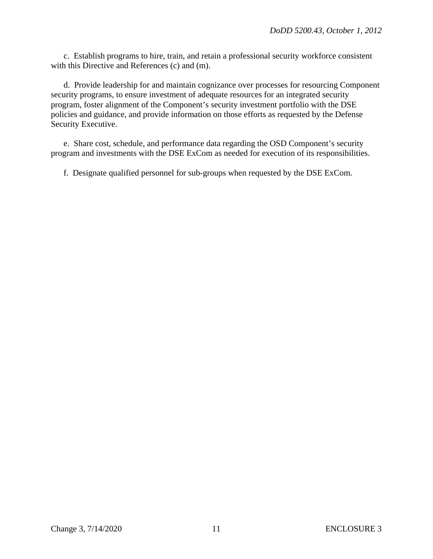c. Establish programs to hire, train, and retain a professional security workforce consistent with this Directive and References (c) and (m).

 d. Provide leadership for and maintain cognizance over processes for resourcing Component security programs, to ensure investment of adequate resources for an integrated security program, foster alignment of the Component's security investment portfolio with the DSE policies and guidance, and provide information on those efforts as requested by the Defense Security Executive.

 e. Share cost, schedule, and performance data regarding the OSD Component's security program and investments with the DSE ExCom as needed for execution of its responsibilities.

f. Designate qualified personnel for sub-groups when requested by the DSE ExCom.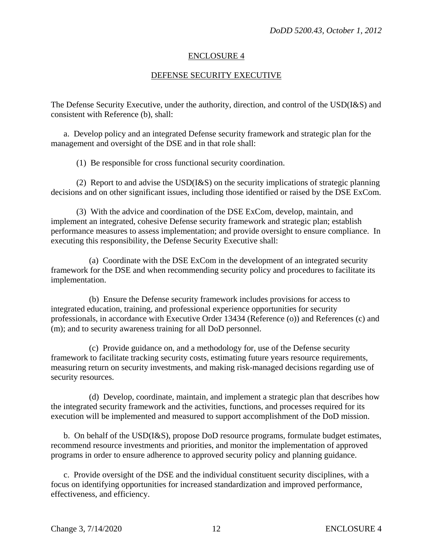#### DEFENSE SECURITY EXECUTIVE

The Defense Security Executive, under the authority, direction, and control of the USD(I&S) and consistent with Reference (b), shall:

a. Develop policy and an integrated Defense security framework and strategic plan for the management and oversight of the DSE and in that role shall:

(1) Be responsible for cross functional security coordination.

 (2) Report to and advise the USD(I&S) on the security implications of strategic planning decisions and on other significant issues, including those identified or raised by the DSE ExCom.

 (3) With the advice and coordination of the DSE ExCom, develop, maintain, and implement an integrated, cohesive Defense security framework and strategic plan; establish performance measures to assess implementation; and provide oversight to ensure compliance. In executing this responsibility, the Defense Security Executive shall:

 (a) Coordinate with the DSE ExCom in the development of an integrated security framework for the DSE and when recommending security policy and procedures to facilitate its implementation.

 (b) Ensure the Defense security framework includes provisions for access to integrated education, training, and professional experience opportunities for security professionals, in accordance with Executive Order 13434 (Reference (o)) and References (c) and (m); and to security awareness training for all DoD personnel.

 (c) Provide guidance on, and a methodology for, use of the Defense security framework to facilitate tracking security costs, estimating future years resource requirements, measuring return on security investments, and making risk-managed decisions regarding use of security resources.

 (d) Develop, coordinate, maintain, and implement a strategic plan that describes how the integrated security framework and the activities, functions, and processes required for its execution will be implemented and measured to support accomplishment of the DoD mission.

 b. On behalf of the USD(I&S), propose DoD resource programs, formulate budget estimates, recommend resource investments and priorities, and monitor the implementation of approved programs in order to ensure adherence to approved security policy and planning guidance.

 c. Provide oversight of the DSE and the individual constituent security disciplines, with a focus on identifying opportunities for increased standardization and improved performance, effectiveness, and efficiency.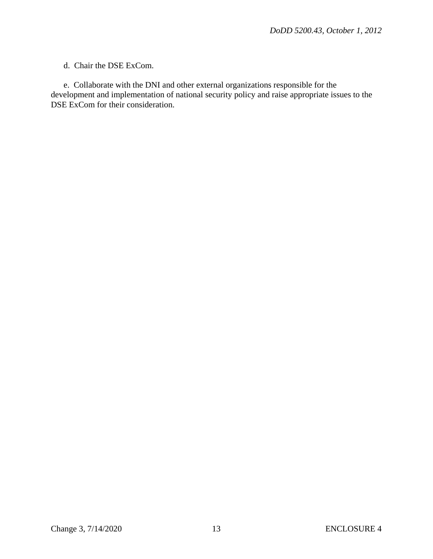#### d. Chair the DSE ExCom.

 e. Collaborate with the DNI and other external organizations responsible for the development and implementation of national security policy and raise appropriate issues to the DSE ExCom for their consideration.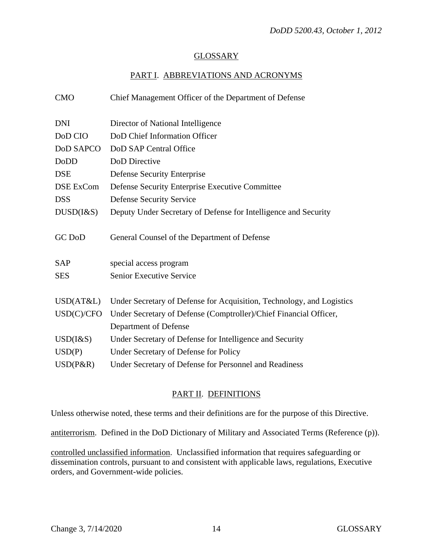## GLOSSARY

# PART I. ABBREVIATIONS AND ACRONYMS

| <b>CMO</b>      | Chief Management Officer of the Department of Defense                 |
|-----------------|-----------------------------------------------------------------------|
| <b>DNI</b>      | Director of National Intelligence                                     |
| DoD CIO         | DoD Chief Information Officer                                         |
| DoD SAPCO       | DoD SAP Central Office                                                |
| DoDD            | DoD Directive                                                         |
| <b>DSE</b>      | <b>Defense Security Enterprise</b>                                    |
| DSE ExCom       | Defense Security Enterprise Executive Committee                       |
| <b>DSS</b>      | <b>Defense Security Service</b>                                       |
| $DUSD(I\&S)$    | Deputy Under Secretary of Defense for Intelligence and Security       |
| GC DoD          | General Counsel of the Department of Defense                          |
| <b>SAP</b>      | special access program                                                |
| <b>SES</b>      | Senior Executive Service                                              |
| USD(AT&L)       | Under Secretary of Defense for Acquisition, Technology, and Logistics |
| USD(C)/CFO      | Under Secretary of Defense (Comptroller)/Chief Financial Officer,     |
|                 | Department of Defense                                                 |
| $USD$ ( $\&$ S) | Under Secretary of Defense for Intelligence and Security              |
| USD(P)          | Under Secretary of Defense for Policy                                 |
| $USD(P\&R)$     | Under Secretary of Defense for Personnel and Readiness                |

# PART II. DEFINITIONS

Unless otherwise noted, these terms and their definitions are for the purpose of this Directive.

antiterrorism. Defined in the DoD Dictionary of Military and Associated Terms (Reference (p)).

controlled unclassified information. Unclassified information that requires safeguarding or dissemination controls, pursuant to and consistent with applicable laws, regulations, Executive orders, and Government-wide policies.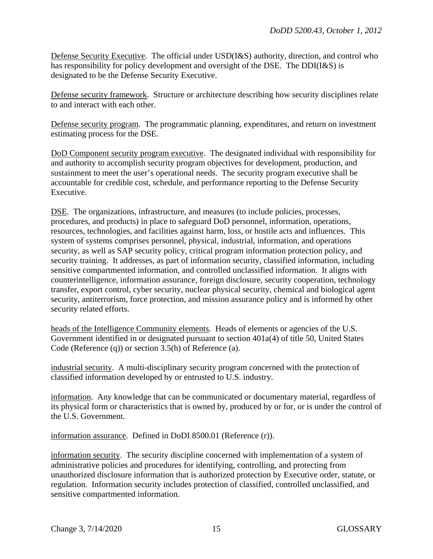Defense Security Executive. The official under USD(I&S) authority, direction, and control who has responsibility for policy development and oversight of the DSE. The DDI(I&S) is designated to be the Defense Security Executive.

Defense security framework. Structure or architecture describing how security disciplines relate to and interact with each other.

Defense security program. The programmatic planning, expenditures, and return on investment estimating process for the DSE.

DoD Component security program executive. The designated individual with responsibility for and authority to accomplish security program objectives for development, production, and sustainment to meet the user's operational needs. The security program executive shall be accountable for credible cost, schedule, and performance reporting to the Defense Security Executive.

DSE. The organizations, infrastructure, and measures (to include policies, processes, procedures, and products) in place to safeguard DoD personnel, information, operations, resources, technologies, and facilities against harm, loss, or hostile acts and influences. This system of systems comprises personnel, physical, industrial, information, and operations security, as well as SAP security policy, critical program information protection policy, and security training. It addresses, as part of information security, classified information, including sensitive compartmented information, and controlled unclassified information. It aligns with counterintelligence, information assurance, foreign disclosure, security cooperation, technology transfer, export control, cyber security, nuclear physical security, chemical and biological agent security, antiterrorism, force protection, and mission assurance policy and is informed by other security related efforts.

heads of the Intelligence Community elements. Heads of elements or agencies of the U.S. Government identified in or designated pursuant to section 401a(4) of title 50, United States Code (Reference (q)) or section 3.5(h) of Reference (a).

industrial security. A multi-disciplinary security program concerned with the protection of classified information developed by or entrusted to U.S. industry.

information. Any knowledge that can be communicated or documentary material, regardless of its physical form or characteristics that is owned by, produced by or for, or is under the control of the U.S. Government.

information assurance. Defined in DoDI 8500.01 (Reference (r)).

information security. The security discipline concerned with implementation of a system of administrative policies and procedures for identifying, controlling, and protecting from unauthorized disclosure information that is authorized protection by Executive order, statute, or regulation. Information security includes protection of classified, controlled unclassified, and sensitive compartmented information.